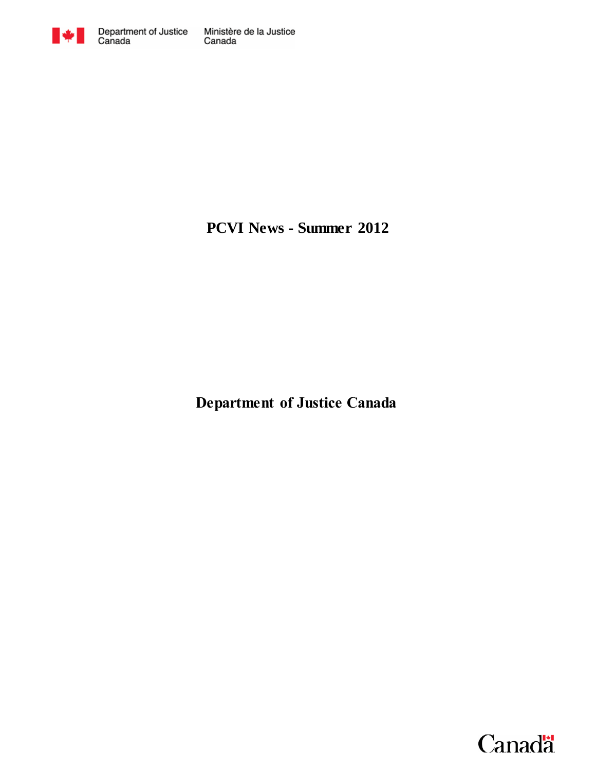

**PCVI News - Summer 2012**

**Department of Justice Canada**

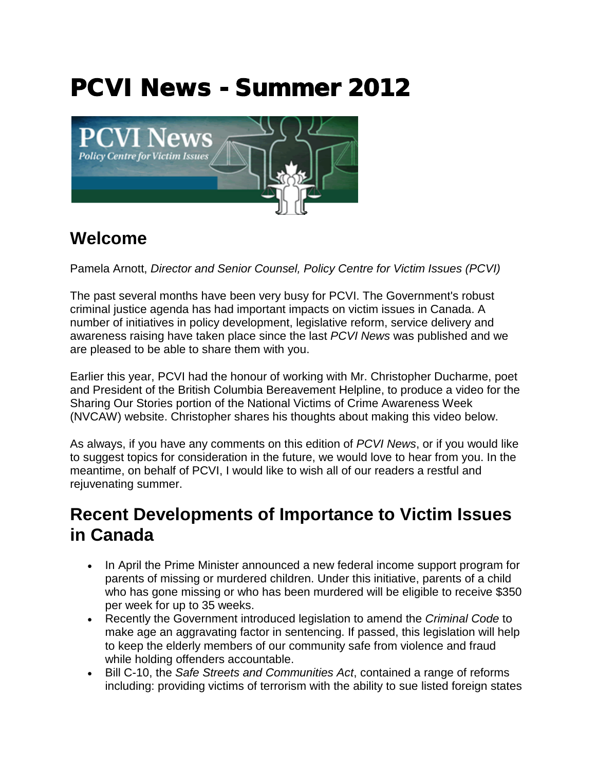# PCVI News - Summer 2012



## **Welcome**

Pamela Arnott, *Director and Senior Counsel, Policy Centre for Victim Issues (PCVI)*

The past several months have been very busy for PCVI. The Government's robust criminal justice agenda has had important impacts on victim issues in Canada. A number of initiatives in policy development, legislative reform, service delivery and awareness raising have taken place since the last *PCVI News* was published and we are pleased to be able to share them with you.

Earlier this year, PCVI had the honour of working with Mr. Christopher Ducharme, poet and President of the British Columbia Bereavement Helpline, to produce a video for the Sharing Our Stories portion of the National Victims of Crime Awareness Week (NVCAW) website. Christopher shares his thoughts about making this video below.

As always, if you have any comments on this edition of *PCVI News*, or if you would like to suggest topics for consideration in the future, we would love to hear from you. In the meantime, on behalf of PCVI, I would like to wish all of our readers a restful and rejuvenating summer.

## **Recent Developments of Importance to Victim Issues in Canada**

- In April the Prime Minister announced a new federal income support program for parents of missing or murdered children. Under this initiative, parents of a child who has gone missing or who has been murdered will be eligible to receive \$350 per week for up to 35 weeks.
- Recently the Government introduced legislation to amend the *Criminal Code* to make age an aggravating factor in sentencing. If passed, this legislation will help to keep the elderly members of our community safe from violence and fraud while holding offenders accountable.
- Bill C-10, the *Safe Streets and Communities Act*, contained a range of reforms including: providing victims of terrorism with the ability to sue listed foreign states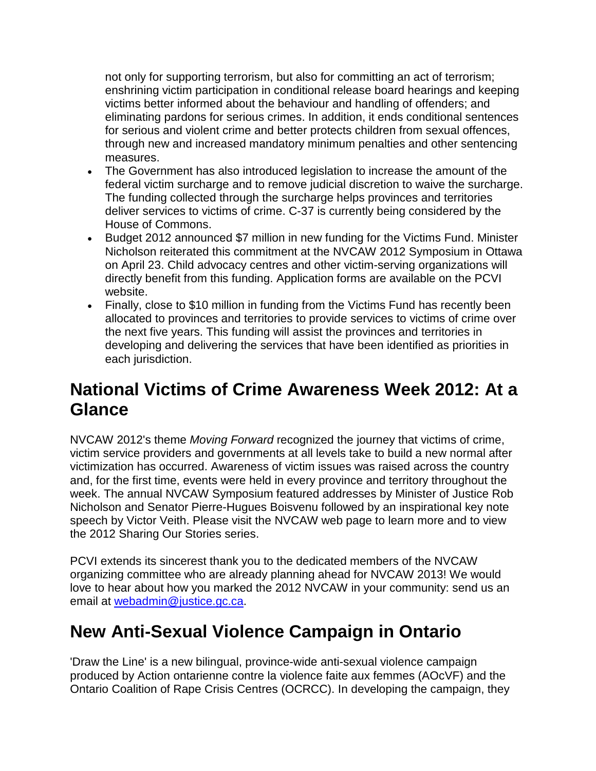not only for supporting terrorism, but also for committing an act of terrorism; enshrining victim participation in conditional release board hearings and keeping victims better informed about the behaviour and handling of offenders; and eliminating pardons for serious crimes. In addition, it ends conditional sentences for serious and violent crime and better protects children from sexual offences, through new and increased mandatory minimum penalties and other sentencing measures.

- The Government has also introduced legislation to increase the amount of the federal victim surcharge and to remove judicial discretion to waive the surcharge. The funding collected through the surcharge helps provinces and territories deliver services to victims of crime. C-37 is currently being considered by the House of Commons.
- Budget 2012 announced \$7 million in new funding for the Victims Fund. Minister Nicholson reiterated this commitment at the NVCAW 2012 Symposium in Ottawa on April 23. Child advocacy centres and other victim-serving organizations will directly benefit from this funding. Application forms are available on the PCVI website.
- Finally, close to \$10 million in funding from the Victims Fund has recently been allocated to provinces and territories to provide services to victims of crime over the next five years. This funding will assist the provinces and territories in developing and delivering the services that have been identified as priorities in each jurisdiction.

# **National Victims of Crime Awareness Week 2012: At a Glance**

NVCAW 2012's theme *Moving Forward* recognized the journey that victims of crime, victim service providers and governments at all levels take to build a new normal after victimization has occurred. Awareness of victim issues was raised across the country and, for the first time, events were held in every province and territory throughout the week. The annual NVCAW Symposium featured addresses by Minister of Justice Rob Nicholson and Senator Pierre-Hugues Boisvenu followed by an inspirational key note speech by Victor Veith. Please visit the NVCAW web page to learn more and to view the 2012 Sharing Our Stories series.

PCVI extends its sincerest thank you to the dedicated members of the NVCAW organizing committee who are already planning ahead for NVCAW 2013! We would love to hear about how you marked the 2012 NVCAW in your community: send us an email at [webadmin@justice.gc.ca.](mailto:webadmin@justice.gc.ca)

# **New Anti-Sexual Violence Campaign in Ontario**

'Draw the Line' is a new bilingual, province-wide anti-sexual violence campaign produced by Action ontarienne contre la violence faite aux femmes (AOcVF) and the Ontario Coalition of Rape Crisis Centres (OCRCC). In developing the campaign, they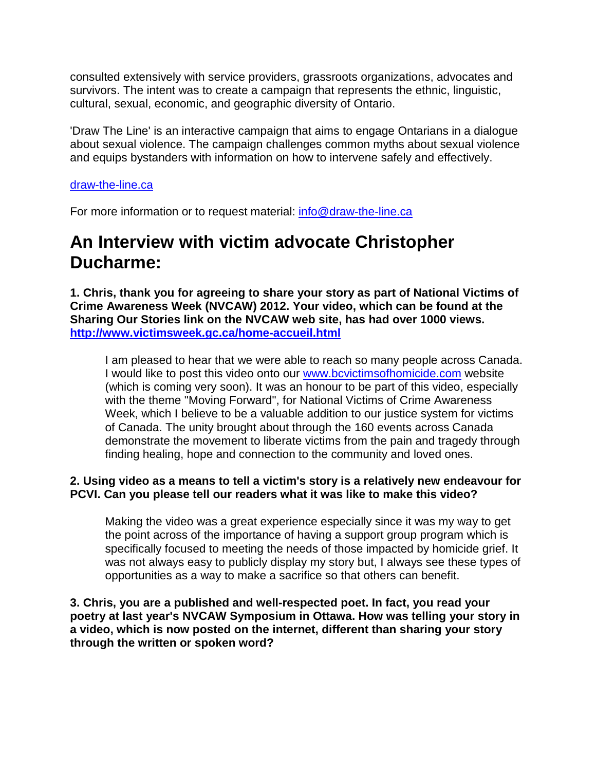consulted extensively with service providers, grassroots organizations, advocates and survivors. The intent was to create a campaign that represents the ethnic, linguistic, cultural, sexual, economic, and geographic diversity of Ontario.

'Draw The Line' is an interactive campaign that aims to engage Ontarians in a dialogue about sexual violence. The campaign challenges common myths about sexual violence and equips bystanders with information on how to intervene safely and effectively.

#### [draw-the-line.ca](http://www.draw-the-line.ca/)

For more information or to request material: [info@draw-the-line.ca](mailto:info@draw-the-line.ca)

## **An Interview with victim advocate Christopher Ducharme:**

**1. Chris, thank you for agreeing to share your story as part of National Victims of Crime Awareness Week (NVCAW) 2012. Your video, which can be found at the Sharing Our Stories link on the NVCAW web site, has had over 1000 views. <http://www.victimsweek.gc.ca/home-accueil.html>**

I am pleased to hear that we were able to reach so many people across Canada. I would like to post this video onto our [www.bcvictimsofhomicide.com](http://www.bcvictimsofhomicide.com/) website (which is coming very soon). It was an honour to be part of this video, especially with the theme "Moving Forward", for National Victims of Crime Awareness Week, which I believe to be a valuable addition to our justice system for victims of Canada. The unity brought about through the 160 events across Canada demonstrate the movement to liberate victims from the pain and tragedy through finding healing, hope and connection to the community and loved ones.

#### **2. Using video as a means to tell a victim's story is a relatively new endeavour for PCVI. Can you please tell our readers what it was like to make this video?**

Making the video was a great experience especially since it was my way to get the point across of the importance of having a support group program which is specifically focused to meeting the needs of those impacted by homicide grief. It was not always easy to publicly display my story but, I always see these types of opportunities as a way to make a sacrifice so that others can benefit.

**3. Chris, you are a published and well-respected poet. In fact, you read your poetry at last year's NVCAW Symposium in Ottawa. How was telling your story in a video, which is now posted on the internet, different than sharing your story through the written or spoken word?**